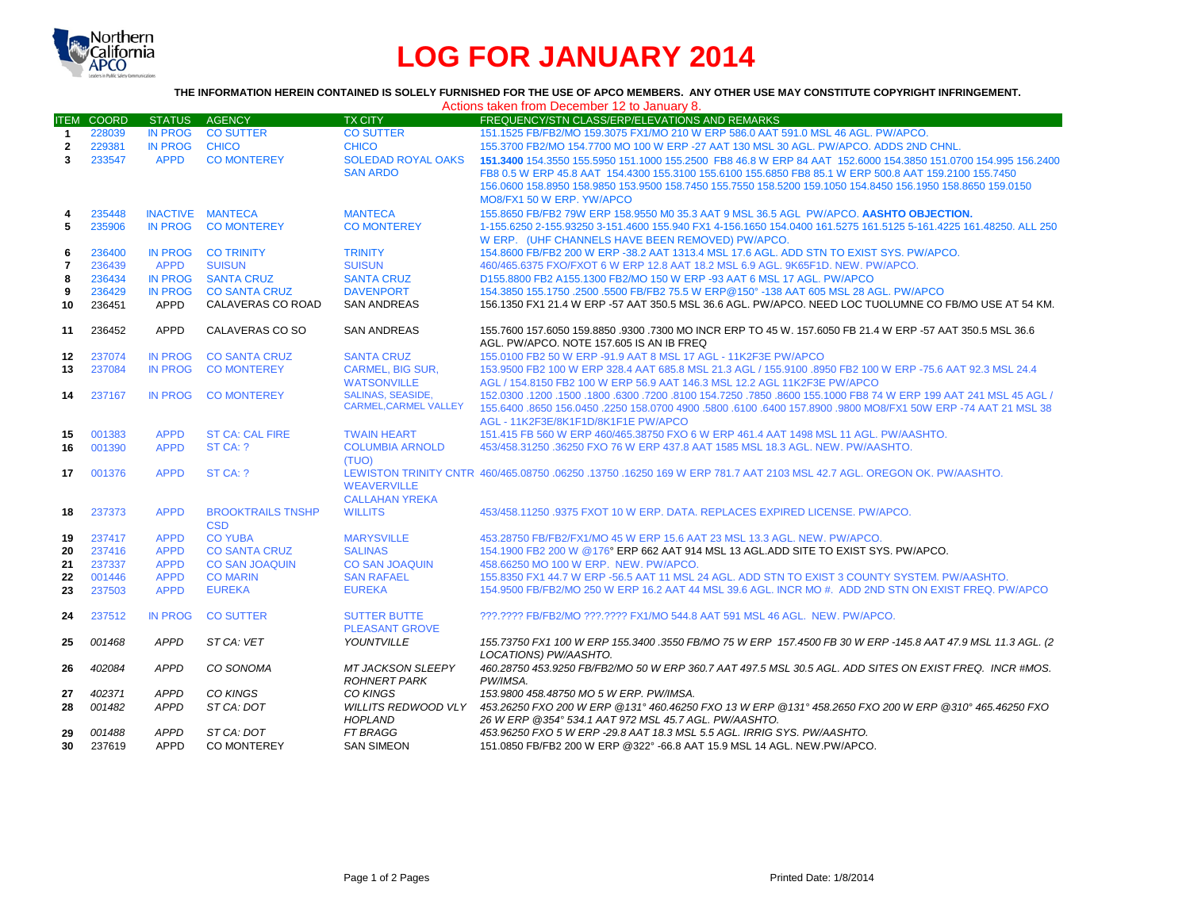

# **LOG FOR JANUARY 2014**

## **THE INFORMATION HEREIN CONTAINED IS SOLELY FURNISHED FOR THE USE OF APCO MEMBERS. ANY OTHER USE MAY CONSTITUTE COPYRIGHT INFRINGEMENT.**

|                |                   |                            |                                  |                                                         | Actions taken from December 12 to January 8.                                                                                                                                                                                                                                                                                                                        |
|----------------|-------------------|----------------------------|----------------------------------|---------------------------------------------------------|---------------------------------------------------------------------------------------------------------------------------------------------------------------------------------------------------------------------------------------------------------------------------------------------------------------------------------------------------------------------|
|                | <b>ITEM COORD</b> | <b>STATUS</b>              | AGENCY                           | <b>TX CITY</b>                                          | FREQUENCY/STN CLASS/ERP/ELEVATIONS AND REMARKS                                                                                                                                                                                                                                                                                                                      |
| $\mathbf{1}$   | 228039            | <b>IN PROG</b>             | <b>CO SUTTER</b>                 | <b>CO SUTTER</b>                                        | 151.1525 FB/FB2/MO 159.3075 FX1/MO 210 W ERP 586.0 AAT 591.0 MSL 46 AGL, PW/APCO.                                                                                                                                                                                                                                                                                   |
| $\mathbf{2}$   | 229381            | <b>IN PROG</b>             | <b>CHICO</b>                     | <b>CHICO</b>                                            | 155.3700 FB2/MO 154.7700 MO 100 W ERP -27 AAT 130 MSL 30 AGL. PW/APCO. ADDS 2ND CHNL.                                                                                                                                                                                                                                                                               |
| $\mathbf{3}$   | 233547            | <b>APPD</b>                | <b>CO MONTEREY</b>               | <b>SOLEDAD ROYAL OAKS</b><br><b>SAN ARDO</b>            | 151,3400 154,3550 155,5950 151,1000 155,2500 FB8 46.8 W ERP 84 AAT 152,6000 154,3850 151,0700 154,995 156,2400<br>FB8 0.5 W ERP 45.8 AAT 154.4300 155.3100 155.6100 155.6850 FB8 85.1 W ERP 500.8 AAT 159.2100 155.7450<br>156.0600 158.8950 158.9850 153.9500 158.7450 155.7550 158.5200 159.1050 154.8450 156.1950 158.8650 159.0150<br>MO8/FX1 50 W ERP. YW/APCO |
| 4              | 235448            |                            | INACTIVE MANTECA                 | <b>MANTECA</b>                                          | 155.8650 FB/FB2 79W ERP 158.9550 M0 35.3 AAT 9 MSL 36.5 AGL PW/APCO. AASHTO OBJECTION.                                                                                                                                                                                                                                                                              |
| 5              | 235906            | <b>IN PROG</b>             | <b>CO MONTEREY</b>               | <b>CO MONTEREY</b>                                      | 1-155.6250 2-155.93250 3-151.4600 155.940 FX1 4-156.1650 154.0400 161.5275 161.5125 5-161.4225 161.48250. ALL 250<br>W ERP. (UHF CHANNELS HAVE BEEN REMOVED) PW/APCO.                                                                                                                                                                                               |
| 6              | 236400            | <b>IN PROG</b>             | <b>CO TRINITY</b>                | <b>TRINITY</b>                                          | 154.8600 FB/FB2 200 W ERP -38.2 AAT 1313.4 MSL 17.6 AGL, ADD STN TO EXIST SYS, PW/APCO.                                                                                                                                                                                                                                                                             |
| $\overline{7}$ | 236439            | <b>APPD</b>                | <b>SUISUN</b>                    | <b>SUISUN</b>                                           | 460/465.6375 FXO/FXOT 6 W ERP 12.8 AAT 18.2 MSL 6.9 AGL, 9K65F1D, NEW, PW/APCO,                                                                                                                                                                                                                                                                                     |
| 8              | 236434            | IN PROG                    | <b>SANTA CRUZ</b>                | <b>SANTA CRUZ</b>                                       | D155.8800 FB2 A155.1300 FB2/MO 150 W ERP -93 AAT 6 MSL 17 AGL. PW/APCO                                                                                                                                                                                                                                                                                              |
| 9              | 236429            | <b>IN PROG</b>             | <b>CO SANTA CRUZ</b>             | <b>DAVENPORT</b>                                        | 154.3850 155.1750 .2500 .5500 FB/FB2 75.5 W ERP@150° -138 AAT 605 MSL 28 AGL. PW/APCO                                                                                                                                                                                                                                                                               |
| 10             | 236451            | APPD                       | CALAVERAS CO ROAD                | <b>SAN ANDREAS</b>                                      | 156.1350 FX1 21.4 W ERP -57 AAT 350.5 MSL 36.6 AGL. PW/APCO. NEED LOC TUOLUMNE CO FB/MO USE AT 54 KM.                                                                                                                                                                                                                                                               |
| 11             | 236452            | <b>APPD</b>                | CALAVERAS CO SO                  | <b>SAN ANDREAS</b>                                      | 155.7600 157.6050 159.8850 .9300 .7300 MO INCR ERP TO 45 W, 157.6050 FB 21.4 W ERP -57 AAT 350.5 MSL 36.6<br>AGL, PW/APCO, NOTE 157,605 IS AN IB FREQ                                                                                                                                                                                                               |
| $12 \,$        | 237074            | <b>IN PROG</b>             | <b>CO SANTA CRUZ</b>             | <b>SANTA CRUZ</b>                                       | 155,0100 FB2 50 W ERP -91.9 AAT 8 MSL 17 AGL - 11K2F3E PW/APCO                                                                                                                                                                                                                                                                                                      |
| 13             | 237084            | <b>IN PROG</b>             | <b>CO MONTEREY</b>               | <b>CARMEL, BIG SUR.</b>                                 | 153.9500 FB2 100 W ERP 328.4 AAT 685.8 MSL 21.3 AGL / 155.9100 .8950 FB2 100 W ERP -75.6 AAT 92.3 MSL 24.4                                                                                                                                                                                                                                                          |
|                |                   |                            |                                  | <b>WATSONVILLE</b>                                      | AGL / 154.8150 FB2 100 W ERP 56.9 AAT 146.3 MSL 12.2 AGL 11K2F3E PW/APCO                                                                                                                                                                                                                                                                                            |
| 14             | 237167            | <b>IN PROG</b>             | <b>CO MONTEREY</b>               | <b>SALINAS, SEASIDE,</b><br><b>CARMEL.CARMEL VALLEY</b> | 152,0300 1200 1500 1600 17200 .8100 154.7250 .7850 .8600 155.1000 FB8 74 W ERP 199 AAT 241 MSL 45 AGL /<br>155.6400 .8650 156.0450 .2250 158.0700 4900 .5800 .6100 .6400 157.8900 .9800 MO8/FX1 50W ERP -74 AAT 21 MSL 38                                                                                                                                           |
|                |                   |                            |                                  |                                                         | AGL - 11K2F3E/8K1F1D/8K1F1E PW/APCO                                                                                                                                                                                                                                                                                                                                 |
| 15             | 001383            | <b>APPD</b>                | <b>ST CA: CAL FIRE</b>           | <b>TWAIN HEART</b>                                      | 151.415 FB 560 W ERP 460/465.38750 FXO 6 W ERP 461.4 AAT 1498 MSL 11 AGL, PW/AASHTO.                                                                                                                                                                                                                                                                                |
| 16             | 001390            | <b>APPD</b>                | ST CA: ?                         | <b>COLUMBIA ARNOLD</b>                                  | 453/458.31250 .36250 FXO 76 W ERP 437.8 AAT 1585 MSL 18.3 AGL. NEW. PW/AASHTO.                                                                                                                                                                                                                                                                                      |
| 17             | 001376            | <b>APPD</b>                | ST CA: ?                         | (TUO)<br><b>WEAVERVILLE</b><br><b>CALLAHAN YREKA</b>    | LEWISTON TRINITY CNTR 460/465.08750 .06250 .13750 .16250 169 W ERP 781.7 AAT 2103 MSL 42.7 AGL. OREGON OK. PW/AASHTO.                                                                                                                                                                                                                                               |
| 18             | 237373            | <b>APPD</b>                | <b>BROOKTRAILS TNSHP</b>         | <b>WILLITS</b>                                          | 453/458.11250.9375 FXOT 10 W ERP. DATA, REPLACES EXPIRED LICENSE, PW/APCO.                                                                                                                                                                                                                                                                                          |
|                |                   |                            | <b>CSD</b>                       |                                                         |                                                                                                                                                                                                                                                                                                                                                                     |
| 19             | 237417            | <b>APPD</b>                | <b>CO YUBA</b>                   | <b>MARYSVILLE</b>                                       | 453.28750 FB/FB2/FX1/MO 45 W ERP 15.6 AAT 23 MSL 13.3 AGL. NEW. PW/APCO.                                                                                                                                                                                                                                                                                            |
| 20             | 237416            | <b>APPD</b>                | <b>CO SANTA CRUZ</b>             | <b>SALINAS</b>                                          | 154.1900 FB2 200 W @176° ERP 662 AAT 914 MSL 13 AGL.ADD SITE TO EXIST SYS. PW/APCO.                                                                                                                                                                                                                                                                                 |
| 21             | 237337            | <b>APPD</b>                | <b>CO SAN JOAQUIN</b>            | <b>CO SAN JOAQUIN</b>                                   | 458.66250 MO 100 W ERP. NEW. PW/APCO.                                                                                                                                                                                                                                                                                                                               |
| 22             | 001446            | <b>APPD</b>                | <b>CO MARIN</b>                  | <b>SAN RAFAEL</b>                                       | 155.8350 FX1 44.7 W ERP -56.5 AAT 11 MSL 24 AGL. ADD STN TO EXIST 3 COUNTY SYSTEM. PW/AASHTO.                                                                                                                                                                                                                                                                       |
| 23             | 237503            | <b>APPD</b>                | <b>EUREKA</b>                    | <b>EUREKA</b>                                           | 154,9500 FB/FB2/MO 250 W ERP 16.2 AAT 44 MSL 39.6 AGL. INCR MO #. ADD 2ND STN ON EXIST FREQ. PW/APCO                                                                                                                                                                                                                                                                |
| 24             | 237512            | <b>IN PROG</b>             | <b>CO SUTTER</b>                 | <b>SUTTER BUTTE</b><br><b>PLEASANT GROVE</b>            | ???.???? FB/FB2/MO ???.???? FX1/MO 544.8 AAT 591 MSL 46 AGL. NEW. PW/APCO.                                                                                                                                                                                                                                                                                          |
| 25             | 001468            | APPD                       | ST CA: VET                       | YOUNTVILLE                                              | 155.73750 FX1 100 W ERP 155.3400 .3550 FB/MO 75 W ERP 157.4500 FB 30 W ERP -145.8 AAT 47.9 MSL 11.3 AGL. (2<br>LOCATIONS) PW/AASHTO.                                                                                                                                                                                                                                |
| 26             | 402084            | <b>APPD</b>                | CO SONOMA                        | <b>MT JACKSON SLEEPY</b><br><b>ROHNERT PARK</b>         | 460.28750 453.9250 FB/FB2/MO 50 W ERP 360.7 AAT 497.5 MSL 30.5 AGL. ADD SITES ON EXIST FREQ. INCR #MOS.<br>PW/IMSA.                                                                                                                                                                                                                                                 |
| 27             | 402371            | <b>APPD</b>                | CO KINGS                         | CO KINGS                                                | 153.9800 458.48750 MO 5 W ERP. PW/IMSA.                                                                                                                                                                                                                                                                                                                             |
| 28             | 001482            | <b>APPD</b>                | ST CA: DOT                       | <b>WILLITS REDWOOD VLY</b><br><b>HOPLAND</b>            | 453.26250 FXO 200 W ERP @131°460.46250 FXO 13 W ERP @131°458.2650 FXO 200 W ERP @310°465.46250 FXO<br>26 W ERP @354° 534.1 AAT 972 MSL 45.7 AGL. PW/AASHTO.                                                                                                                                                                                                         |
| 29<br>30       | 001488<br>237619  | <b>APPD</b><br><b>APPD</b> | ST CA: DOT<br><b>CO MONTEREY</b> | <b>FT BRAGG</b><br><b>SAN SIMEON</b>                    | 453.96250 FXO 5 W ERP -29.8 AAT 18.3 MSL 5.5 AGL. IRRIG SYS. PW/AASHTO.<br>151.0850 FB/FB2 200 W ERP @322° -66.8 AAT 15.9 MSL 14 AGL. NEW.PW/APCO.                                                                                                                                                                                                                  |